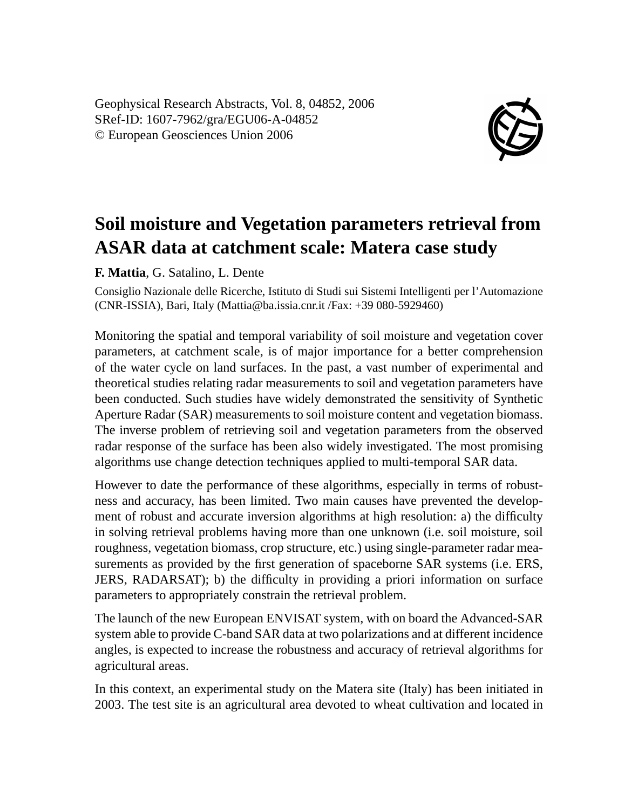Geophysical Research Abstracts, Vol. 8, 04852, 2006 SRef-ID: 1607-7962/gra/EGU06-A-04852 © European Geosciences Union 2006



## **Soil moisture and Vegetation parameters retrieval from ASAR data at catchment scale: Matera case study**

**F. Mattia**, G. Satalino, L. Dente

Consiglio Nazionale delle Ricerche, Istituto di Studi sui Sistemi Intelligenti per l'Automazione (CNR-ISSIA), Bari, Italy (Mattia@ba.issia.cnr.it /Fax: +39 080-5929460)

Monitoring the spatial and temporal variability of soil moisture and vegetation cover parameters, at catchment scale, is of major importance for a better comprehension of the water cycle on land surfaces. In the past, a vast number of experimental and theoretical studies relating radar measurements to soil and vegetation parameters have been conducted. Such studies have widely demonstrated the sensitivity of Synthetic Aperture Radar (SAR) measurements to soil moisture content and vegetation biomass. The inverse problem of retrieving soil and vegetation parameters from the observed radar response of the surface has been also widely investigated. The most promising algorithms use change detection techniques applied to multi-temporal SAR data.

However to date the performance of these algorithms, especially in terms of robustness and accuracy, has been limited. Two main causes have prevented the development of robust and accurate inversion algorithms at high resolution: a) the difficulty in solving retrieval problems having more than one unknown (i.e. soil moisture, soil roughness, vegetation biomass, crop structure, etc.) using single-parameter radar measurements as provided by the first generation of spaceborne SAR systems (i.e. ERS, JERS, RADARSAT); b) the difficulty in providing a priori information on surface parameters to appropriately constrain the retrieval problem.

The launch of the new European ENVISAT system, with on board the Advanced-SAR system able to provide C-band SAR data at two polarizations and at different incidence angles, is expected to increase the robustness and accuracy of retrieval algorithms for agricultural areas.

In this context, an experimental study on the Matera site (Italy) has been initiated in 2003. The test site is an agricultural area devoted to wheat cultivation and located in